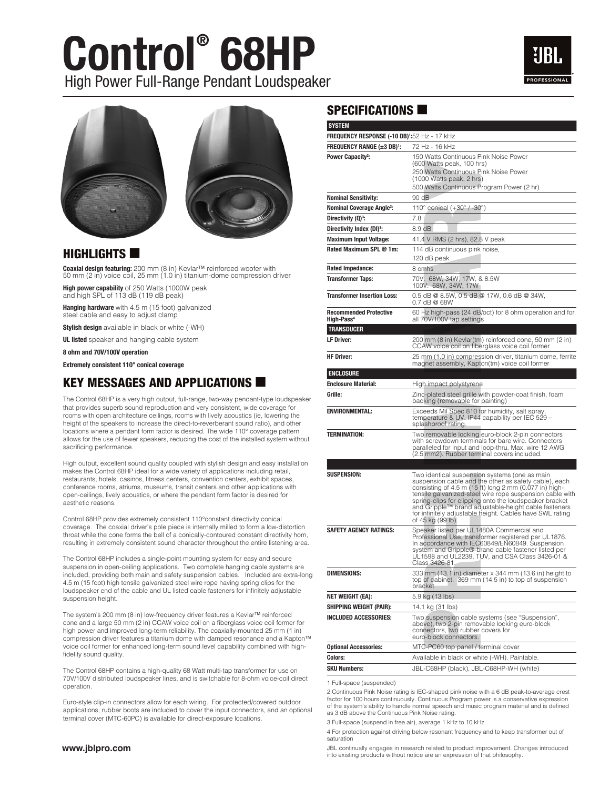## **Control® 68HP** High Power Full-Range Pendant Loudspeaker







#### $H$ IGHLIGHTS

**Coaxial design featuring:** 200 mm (8 in) Kevlar™ reinforced woofer with<br>50 mm (2 in) voice coil, 25 mm (1.0 in) titanium-dome compression driver

High power capability of 250 Watts (1000W peak and high SPL of 113 dB (119 dB peak)

Hanging hardware with 4.5 m (15 foot) galvanized steel cable and easy to adjust clamp

Stylish design available in black or white (-WH)

**UL listed** speaker and hanging cable system

8 ohm and 70V/100V operation

Extremely consistent 110° conical coverage

#### KEY MESSAGES AND APPLICATIONS  $\blacksquare$

The Control 68HP is a very high output, full-range, two-way pendant-type loudspeaker that provides superb sound reproduction and very consistent, wide coverage for rooms with open architecture ceilings, rooms with lively acoustics (ie, lowering the height of the speakers to increase the direct-to-reverberant sound ratio), and other locations where a pendant form factor is desired. The wide 110° coverage pattern allows for the use of fewer speakers, reducing the cost of the installed system without sacrificing performance.

High output, excellent sound quality coupled with stylish design and easy installation makes the Control 68HP ideal for a wide variety of applications including retail, restaurants, hotels, casinos, fitness centers, convention centers, exhibit spaces, conference rooms, atriums, museums, transit centers and other applications with open-ceilings, lively acoustics, or where the pendant form factor is desired for aesthetic reasons.

Control 68HP provides extremely consistent 110°constant directivity conical coverage. The coaxial driver's pole piece is internally milled to form a low-distortion throat while the cone forms the bell of a conically-contoured constant directivity horn, resulting in extremely consistent sound character throughout the entire listening area.

The Control 68HP includes a single-point mounting system for easy and secure suspension in open-ceiling applications. Two complete hanging cable systems are included, providing both main and safety suspension cables. Included are extra-long 4.5 m (15 foot) high tensile galvanized steel wire rope having spring clips for the loudspeaker end of the cable and UL listed cable fasteners for infinitely adjustable suspension height.

The system's 200 mm (8 in) low-frequency driver features a Kevlar™ reinforced cone and a large 50 mm (2 in) CCAW voice coil on a fiberglass voice coil former for high power and improved long-term reliability. The coaxially-mounted 25 mm (1 in) compression driver features a titanium dome with damped resonance and a Kapton™ voice coil former for enhanced long-term sound level capability combined with highfidelity sound quality.

The Control 68HP contains a high-quality 68 Watt multi-tap transformer for use on 70V/100V distributed loudspeaker lines, and is switchable for 8-ohm voice-coil direct operation.

Euro-style clip-in connectors allow for each wiring. For protected/covered outdoor applications, rubber boots are included to cover the input connectors, and an optional terminal cover (MTC-60PC) is available for direct-exposure locations.

#### **www.jblpro.com**

#### $SPECIFICATIONS$

| <b>FREQUENCY RANGE (±3 DB)':</b><br>Power Capacity <sup>2</sup> :<br><b>Nominal Sensitivity:</b><br><b>Nominal Coverage Angle<sup>3</sup>:</b><br>Directivity (Q) <sup>3</sup> :<br>Directivity Index (DI) <sup>3</sup> :<br><b>Maximum Input Voltage:</b><br>Rated Maximum SPL @ 1m:<br><b>Rated Impedance:</b><br><b>Transformer Taps:</b><br><b>Transformer Insertion Loss:</b><br><b>Recommended Protective</b> | 72 Hz - 16 kHz<br>150 Watts Continuous Pink Noise Power<br>(600 Watts peak, 100 hrs)<br>250 Watts Continuous Pink Noise Power<br>(1000 Watts peak, 2 hrs)<br>500 Watts Continuous Program Power (2 hr)<br>90 dB<br>110 $^{\circ}$ conical (+30 $^{\circ}$ / -30 $^{\circ}$ )<br>7.8<br>8.9 dB<br>41.4 V RMS (2 hrs), 82.8 V peak<br>114 dB continuous pink noise,<br>120 dB peak<br>8 omhs<br>70V: 68W, 34W, 17W, & 8.5W<br>100V: 68W, 34W, 17W<br>0.5 dB @ 8.5W, 0.5 dB @ 17W, 0.6 dB @ 34W,<br>0.7 dB @ 68W<br>60 Hz high-pass (24 dB/oct) for 8 ohm operation and for |
|---------------------------------------------------------------------------------------------------------------------------------------------------------------------------------------------------------------------------------------------------------------------------------------------------------------------------------------------------------------------------------------------------------------------|--------------------------------------------------------------------------------------------------------------------------------------------------------------------------------------------------------------------------------------------------------------------------------------------------------------------------------------------------------------------------------------------------------------------------------------------------------------------------------------------------------------------------------------------------------------------------|
|                                                                                                                                                                                                                                                                                                                                                                                                                     |                                                                                                                                                                                                                                                                                                                                                                                                                                                                                                                                                                          |
|                                                                                                                                                                                                                                                                                                                                                                                                                     |                                                                                                                                                                                                                                                                                                                                                                                                                                                                                                                                                                          |
|                                                                                                                                                                                                                                                                                                                                                                                                                     |                                                                                                                                                                                                                                                                                                                                                                                                                                                                                                                                                                          |
|                                                                                                                                                                                                                                                                                                                                                                                                                     |                                                                                                                                                                                                                                                                                                                                                                                                                                                                                                                                                                          |
|                                                                                                                                                                                                                                                                                                                                                                                                                     |                                                                                                                                                                                                                                                                                                                                                                                                                                                                                                                                                                          |
|                                                                                                                                                                                                                                                                                                                                                                                                                     |                                                                                                                                                                                                                                                                                                                                                                                                                                                                                                                                                                          |
|                                                                                                                                                                                                                                                                                                                                                                                                                     |                                                                                                                                                                                                                                                                                                                                                                                                                                                                                                                                                                          |
|                                                                                                                                                                                                                                                                                                                                                                                                                     |                                                                                                                                                                                                                                                                                                                                                                                                                                                                                                                                                                          |
|                                                                                                                                                                                                                                                                                                                                                                                                                     |                                                                                                                                                                                                                                                                                                                                                                                                                                                                                                                                                                          |
|                                                                                                                                                                                                                                                                                                                                                                                                                     |                                                                                                                                                                                                                                                                                                                                                                                                                                                                                                                                                                          |
|                                                                                                                                                                                                                                                                                                                                                                                                                     |                                                                                                                                                                                                                                                                                                                                                                                                                                                                                                                                                                          |
|                                                                                                                                                                                                                                                                                                                                                                                                                     |                                                                                                                                                                                                                                                                                                                                                                                                                                                                                                                                                                          |
|                                                                                                                                                                                                                                                                                                                                                                                                                     |                                                                                                                                                                                                                                                                                                                                                                                                                                                                                                                                                                          |
|                                                                                                                                                                                                                                                                                                                                                                                                                     |                                                                                                                                                                                                                                                                                                                                                                                                                                                                                                                                                                          |
| High-Pass <sup>4</sup>                                                                                                                                                                                                                                                                                                                                                                                              | all 70V/100V tap settings                                                                                                                                                                                                                                                                                                                                                                                                                                                                                                                                                |
| <b>TRANSDUCER</b>                                                                                                                                                                                                                                                                                                                                                                                                   |                                                                                                                                                                                                                                                                                                                                                                                                                                                                                                                                                                          |
| <b>LF Driver:</b>                                                                                                                                                                                                                                                                                                                                                                                                   | 200 mm (8 in) Kevlar(tm) reinforced cone, 50 mm (2 in)<br>CCAW voice coil on fiberglass voice coil former                                                                                                                                                                                                                                                                                                                                                                                                                                                                |
| <b>HF Driver:</b>                                                                                                                                                                                                                                                                                                                                                                                                   | 25 mm (1.0 in) compression driver, titanium dome, ferrite<br>magnet assembly, Kapton(tm) voice coil former                                                                                                                                                                                                                                                                                                                                                                                                                                                               |
| <b>ENCLOSURE</b>                                                                                                                                                                                                                                                                                                                                                                                                    |                                                                                                                                                                                                                                                                                                                                                                                                                                                                                                                                                                          |
| <b>Enclosure Material:</b>                                                                                                                                                                                                                                                                                                                                                                                          | High impact polystyrene                                                                                                                                                                                                                                                                                                                                                                                                                                                                                                                                                  |
| Grille:                                                                                                                                                                                                                                                                                                                                                                                                             | Zinc-plated steel grille with powder-coat finish, foam<br>backing (removable for painting)                                                                                                                                                                                                                                                                                                                                                                                                                                                                               |
| <b>ENVIRONMENTAL:</b>                                                                                                                                                                                                                                                                                                                                                                                               | Exceeds Mil Spec 810 for humidity, salt spray,<br>temperature & UV. IP44 capability per IEC 529 -<br>splashproof rating.                                                                                                                                                                                                                                                                                                                                                                                                                                                 |
| <b>TERMINATION:</b>                                                                                                                                                                                                                                                                                                                                                                                                 | Two removable locking euro-block 2-pin connectors<br>with screwdown terminals for bare wire. Connectors<br>paralleled for input and loop-thru. Max. wire 12 AWG<br>(2.5 mm2). Rubber terminal covers included.                                                                                                                                                                                                                                                                                                                                                           |
|                                                                                                                                                                                                                                                                                                                                                                                                                     |                                                                                                                                                                                                                                                                                                                                                                                                                                                                                                                                                                          |
| <b>SUSPENSION:</b>                                                                                                                                                                                                                                                                                                                                                                                                  | Two identical suspension systems (one as main<br>suspension cable and the other as safety cable), each<br>consisting of 4.5 m (15 ft) long 2 mm (0.077 in) high-<br>tensile galvanized-steel wire rope suspension cable with<br>spring-clips for clipping onto the loudspeaker bracket<br>and Gripple™ brand adjustable-height cable fasteners<br>for infinitely adjustable height. Cables have SWL rating<br>of 45 kg (99 lb).                                                                                                                                          |
| SAFETY AGENCY RATINGS:                                                                                                                                                                                                                                                                                                                                                                                              | Speaker listed per UL1480A Commercial and<br>Professional Use, transformer registered per UL1876.<br>In accordance with IEC60849/EN60849. Suspension<br>system and Gripple®-brand cable fastener listed per<br>UL1598 and UL2239, TUV, and CSA Class 3426-01 &<br>Class 3426-81.                                                                                                                                                                                                                                                                                         |
| <b>DIMENSIONS:</b>                                                                                                                                                                                                                                                                                                                                                                                                  | 333 mm (13.1 in) diameter x 344 mm (13.6 in) height to<br>top of cabinet. 369 mm (14.5 in) to top of suspension<br>bracket                                                                                                                                                                                                                                                                                                                                                                                                                                               |
| NET WEIGHT (EA):                                                                                                                                                                                                                                                                                                                                                                                                    | 5.9 kg (13 lbs)                                                                                                                                                                                                                                                                                                                                                                                                                                                                                                                                                          |
| <b>SHIPPING WEIGHT (PAIR):</b>                                                                                                                                                                                                                                                                                                                                                                                      | 14.1 kg (31 lbs)                                                                                                                                                                                                                                                                                                                                                                                                                                                                                                                                                         |
| INCLUDED ACCESSORIES:                                                                                                                                                                                                                                                                                                                                                                                               | Two suspension cable systems (see "Suspension",<br>above), two 2-pin removable locking euro-block<br>connectors, two rubber covers for<br>euro-block connectors.                                                                                                                                                                                                                                                                                                                                                                                                         |
| <b>Optional Accessories:</b>                                                                                                                                                                                                                                                                                                                                                                                        | MTC-PC60 top panel / terminal cover                                                                                                                                                                                                                                                                                                                                                                                                                                                                                                                                      |
| Colors:                                                                                                                                                                                                                                                                                                                                                                                                             | Available in black or white (-WH). Paintable.                                                                                                                                                                                                                                                                                                                                                                                                                                                                                                                            |
| <b>SKU Numbers:</b>                                                                                                                                                                                                                                                                                                                                                                                                 | JBL-C68HP (black), JBL-C68HP-WH (white)                                                                                                                                                                                                                                                                                                                                                                                                                                                                                                                                  |
| 1 Full-space (suspended)<br>as 3 dB above the Continuous Pink Noise rating.<br>3 Full-space (suspend in free air), average 1 kHz to 10 kHz.                                                                                                                                                                                                                                                                         | 2 Continuous Pink Noise rating is IEC-shaped pink noise with a 6 dB peak-to-average crest<br>factor for 100 hours continuously. Continuous Program power is a conservative expression<br>of the system's ability to handle normal speech and music program material and is defined                                                                                                                                                                                                                                                                                       |
| saturation                                                                                                                                                                                                                                                                                                                                                                                                          | 4 For protection against driving below resonant frequency and to keep transformer out of<br>JBL continually engages in research related to product improvement. Changes introduced                                                                                                                                                                                                                                                                                                                                                                                       |